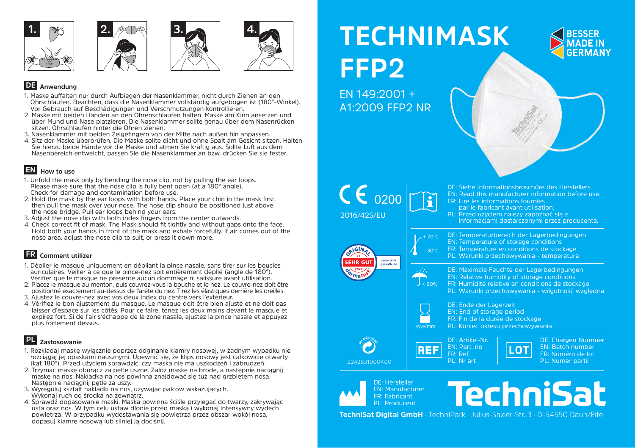



✓





## **DE Anwendung**

- 1. Maske auffalten nur durch Aufbiegen der Nasenklammer, nicht durch Ziehen an den Ohrschlaufen. Beachten, dass die Nasenklammer vollständig aufgebogen ist (180°-Winkel). Vor Gebrauch auf Beschädigungen und Verschmutzungen kontrollieren.
- 2. Maske mit beiden Händen an den Ohrenschlaufen halten. Maske am Kinn ansetzen und über Mund und Nase platzieren. Die Nasenklammer sollte genau über dem Nasenrücken sitzen. Ohrschlaufen hinter die Ohren ziehen.
- 3. Nasenklammer mit beiden Zeigefingern von der Mitte nach außen hin anpassen.
- 4. Sitz der Maske überprüfen. Die Maske sollte dicht und ohne Spalt am Gesicht sitzen. Halten Sie hierzu beide Hände vor die Maske und atmen Sie kräftig aus. Sollte Luft aus dem Nasenbereich entweicht, passen Sie die Nasenklammer an bzw. drücken Sie sie fester.

# **EN How to use**

- 1. Unfold the mask only by bending the nose clip, not by pulling the ear loops. Please make sure that the nose clip is fully bent open (at a 180° angle). Check for damage and contamination before use.
- 2. Hold the mask by the ear loops with both hands. Place your chin in the mask first, then pull the mask over your nose. The nose clip should be positioned just above the nose bridge. Pull ear loops behind your ears.
- 3. Adjust the nose clip with both index fingers from the center outwards.
- 4. Check correct fit of mask. The Mask should fit tightly and without gaps onto the face. Hold both your hands in front of the mask and exhale forcefully. If air comes out of the nose area, adjust the nose clip to suit, or press it down more.

# **FR Comment utilizer**

- 1. Déplier le masque uniquement en dépliant la pince nasale, sans tirer sur les boucles auriculaires. Veiller à ce que le pince-nez soit entièrement déplié (angle de 180°). Vérifier que le masque ne présente aucun dommage ni salissure avant utilisation.
- 2. Placez le masque au menton, puis couvrez-vous la bouche et le nez. Le couvre-nez doit être positionné exactement au-dessus de l'arête du nez. Tirez les élastiques derrière les oreilles.
- 3. Ajustez le couvre-nez avec vos deux index du centre vers l'extérieur.
- 4. Vérifiez le bon ajustement du masque. Le masque doit être bien ajusté et ne doit pas laisser d'espace sur les côtés. Pour ce faire, tenez les deux mains devant le masque et expirez fort. Si de l'air s'échappe de la zone nasale, ajustez la pince nasale et appuyez plus fortement dessus.

# **PL Zastosowanie**

- 1. Rozkładaj maskę wyłącznie poprzez odginanie klamry nosowej, w żadnym wypadku nie rozciągaj jej opaskami nausznymi. Upewnić się, że klips nosowy jest całkowicie otwarty (kąt 180°). Przed użyciem sprawdzić, czy maska nie ma uszkodzeń i zabrudzeń.
- 2. Trzymać maskę oburącz za pętle uszne. Załóż maskę na brodę, a następnie naciągnij maskę na nos. Nakładka na nos powinna znajdować się tuż nad grzbietem nosa. Następnie naciągnij pętle za uszy.
- 3. Wyreguluj kształt nakładki na nos, używając palców wskazujących.
- Wykonaj ruch od środka na zewnątrz.
- 4. Sprawdź dopasowanie maski. Maska powinna ściśle przylegać do twarzy, zakrywając usta oraz nos. W tym celu ustaw dłonie przed maską i wykonaj intensywny wydech powietrza. W przypadku wydostawania się powietrza przez obszar wokół nosa, dopasuj klamrę nosową lub silniej ją dociśnij.

# **TECHNIMASK FFP2**

EN 149:2001 + A1:2009 FFP2 NR



| € 0200<br>2016/425/EU                                                              |                    | EN: Read this manufacturer information before use.<br>FR: Lire les informations fournies<br>par le fabricant avant utilisation.<br>PL: Przed użyciem należy zapoznać się z<br>informacjami dostarczonymi przez producenta. |                                                                                 |
|------------------------------------------------------------------------------------|--------------------|----------------------------------------------------------------------------------------------------------------------------------------------------------------------------------------------------------------------------|---------------------------------------------------------------------------------|
| al <sup>GI</sup><br>dermatest-<br><b>SEHR GUT</b><br>garantie.de<br>ma             | 70°C<br><b>D°C</b> | DE: Temperaturbereich der Lagerbedingungen<br>EN: Temperature of storage conditions<br>FR: Température en conditions de stockage<br>PL: Warunki przechowywania - temperatura                                               |                                                                                 |
|                                                                                    | & 80%              | DE: Maximale Feuchte der Lagerbedingungen<br>EN: Relative humidity of storage conditions<br>FR: Humidité relative en conditions de stockage<br>PL: Warunki przechowywania - wilgotność względna                            |                                                                                 |
|                                                                                    | vvvv/mm            | DE: Ende der Lagerzeit<br>EN: End of storage period<br>FR: Fin de la durée de stockage<br>PL: Koniec okresu przechowywania                                                                                                 |                                                                                 |
| 2242831000400                                                                      |                    | DE: Artikel-Nr.<br>EN: Part. no<br>FR: Réf<br>PL: Nr art                                                                                                                                                                   | DE: Chargen Nummer<br>EN: Batch number<br>FR: Numéro de lot<br>PL: Numer partii |
| <b>DE: Hersteller</b><br><b>EN: Manufacturer</b><br>FR: Fabricant<br>PL: Producent |                    | <u> Iechnisat</u>                                                                                                                                                                                                          |                                                                                 |

**TechniSat Digital GmbH** · TechniPark · Julius-Saxler-Str. 3 · D-54550 Daun/Eifel